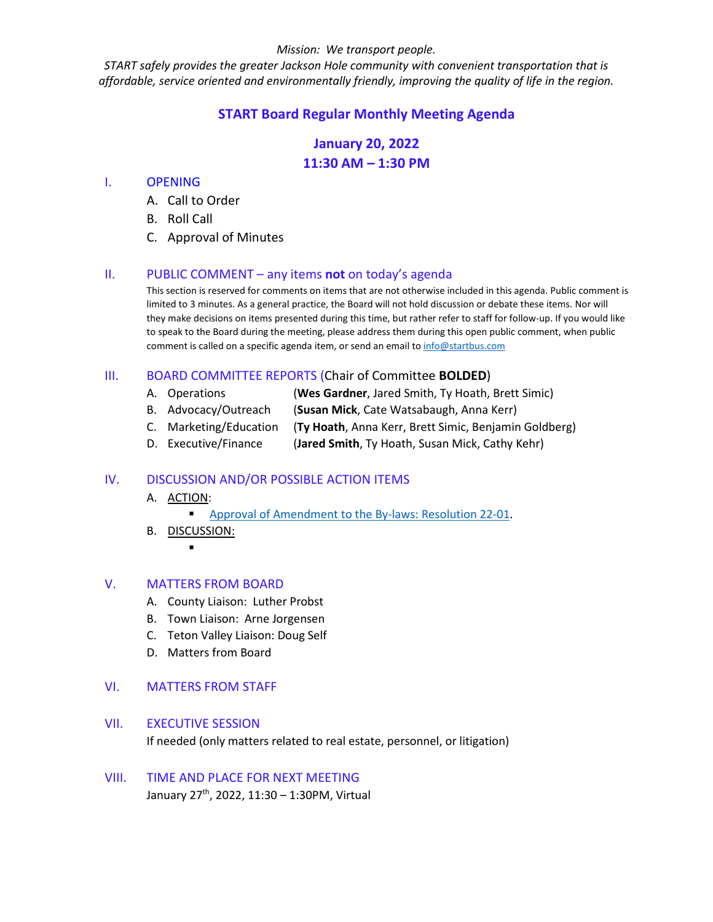#### *Mission: We transport people.*

*START safely provides the greater Jackson Hole community with convenient transportation that is affordable, service oriented and environmentally friendly, improving the quality of life in the region.*

## **START Board Regular Monthly Meeting Agenda**

# **January 20, 2022 11:30 AM – 1:30 PM**

## I. OPENING

- A. Call to Order
- B. Roll Call
- C. Approval of Minutes

## II. PUBLIC COMMENT – any items **not** on today's agenda

This section is reserved for comments on items that are not otherwise included in this agenda. Public comment is limited to 3 minutes. As a general practice, the Board will not hold discussion or debate these items. Nor will they make decisions on items presented during this time, but rather refer to staff for follow-up. If you would like to speak to the Board during the meeting, please address them during this open public comment, when public comment is called on a specific agenda item, or send an email to [info@startbus.com](mailto:info@startbus.com)

## III. BOARD COMMITTEE REPORTS (Chair of Committee **BOLDED**)

- A. Operations (**Wes Gardner**, Jared Smith, Ty Hoath, Brett Simic)
- B. Advocacy/Outreach (**Susan Mick**, Cate Watsabaugh, Anna Kerr)
- C. Marketing/Education (**Ty Hoath**, Anna Kerr, Brett Simic, Benjamin Goldberg)
- D. Executive/Finance (**Jared Smith**, Ty Hoath, Susan Mick, Cathy Kehr)

## IV. DISCUSSION AND/OR POSSIBLE ACTION ITEMS

- A. ACTION:
	- [Approval of Amendment to the By-laws: Resolution 22-01.](https://www.jacksonwy.gov/DocumentCenter/View/5522/20220120StaffReport_BylawsResolution22-01)
- B. DISCUSSION:
	- .

## V. MATTERS FROM BOARD

- A. County Liaison: Luther Probst
- B. Town Liaison: Arne Jorgensen
- C. Teton Valley Liaison: Doug Self
- D. Matters from Board

## VI. MATTERS FROM STAFF

## VII. EXECUTIVE SESSION

If needed (only matters related to real estate, personnel, or litigation)

## VIII. TIME AND PLACE FOR NEXT MEETING January 27<sup>th</sup>, 2022, 11:30 – 1:30PM, Virtual